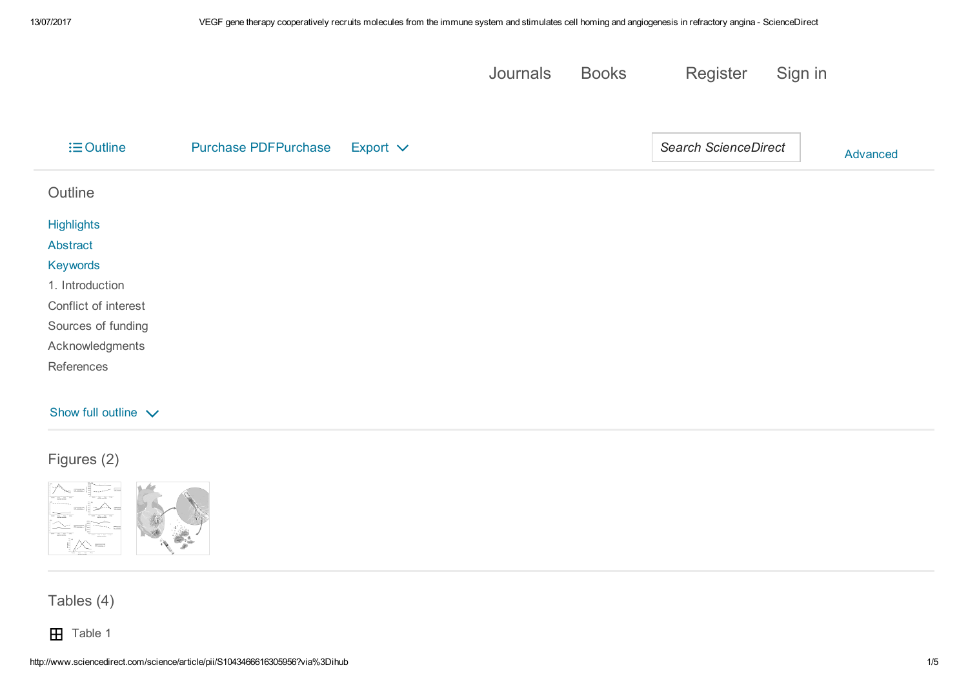|                  |                             |               | Journals | <b>Books</b> | Register                    | Sign in |          |
|------------------|-----------------------------|---------------|----------|--------------|-----------------------------|---------|----------|
| $\equiv$ Outline | <b>Purchase PDFPurchase</b> | Export $\vee$ |          |              | <b>Search ScienceDirect</b> |         | Advanced |
| Outline          |                             |               |          |              |                             |         |          |

| <b>Highlights</b>    |  |  |
|----------------------|--|--|
| Abstract             |  |  |
| Keywords             |  |  |
| 1. Introduction      |  |  |
| Conflict of interest |  |  |
| Sources of funding   |  |  |
| Acknowledgments      |  |  |
| References           |  |  |
|                      |  |  |

#### Show full outline  $\sqrt{}$

# Figures (2)





Tables (4)

**H** Table 1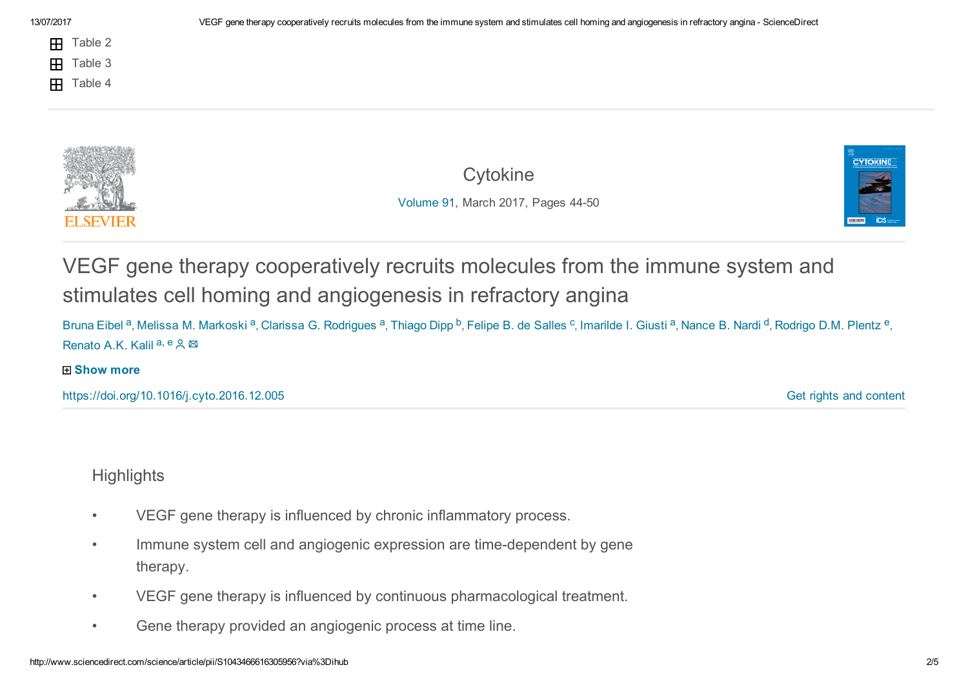- Æ. Table 2
- Table 3  $\mathbf{H}$
- Table 4 Æ.

**[Cytokine](http://www.sciencedirect.com/science/journal/10434666)** [Volume](http://www.sciencedirect.com/science/journal/10434666/91/supp/C) 91, March 2017, Pages 4450



VEGF gene therapy cooperatively recruits molecules from the immune system and stimulates cell homing and angiogenesis in refractory angina

Bruna Eibel <sup>a</sup>, Melissa M. Markoski <sup>a</sup>, Clarissa G. Rodrigues <sup>a</sup>, Thiago Dipp <sup>b</sup>, Felipe B. de Salles <sup>c</sup>, Imarilde I. Giusti <sup>a</sup>, Nance B. Nardi <sup>d</sup>, Rodrigo D.M. Plentz <sup>e</sup>, Renato A.K. Kalil<sup>a, e</sup>

#### **⊞ Show more**

<span id="page-1-0"></span><https://doi.org/10.1016/j.cyto.2016.12.005>

Get rights and [content](https://s100.copyright.com/AppDispatchServlet?publisherName=ELS&contentID=S1043466616305956&orderBeanReset=true)

# **Highlights**

- VEGF gene therapy is influenced by chronic inflammatory process.
- Immune system cell and angiogenic expression are time-dependent by gene therapy.
- VEGF gene therapy is influenced by continuous pharmacological treatment.
- Gene therapy provided an angiogenic process at time line.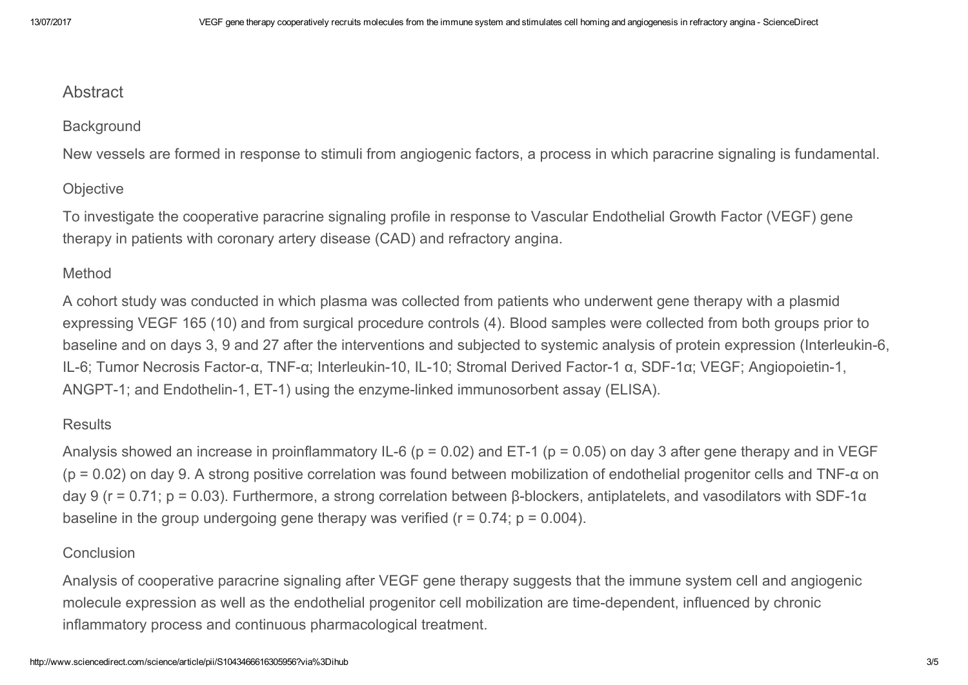# <span id="page-2-0"></span>**Abstract**

### **Background**

New vessels are formed in response to stimuli from angiogenic factors, a process in which paracrine signaling is fundamental.

### **Objective**

To investigate the cooperative paracrine signaling profile in response to Vascular Endothelial Growth Factor (VEGF) gene therapy in patients with coronary artery disease (CAD) and refractory angina.

# Method

A cohort study was conducted in which plasma was collected from patients who underwent gene therapy with a plasmid expressing VEGF 165 (10) and from surgical procedure controls (4). Blood samples were collected from both groups prior to baseline and on days 3, 9 and 27 after the interventions and subjected to systemic analysis of protein expression (Interleukin-6, IL-6; Tumor Necrosis Factor-α, TNF-α; Interleukin-10, IL-10; Stromal Derived Factor-1 α, SDF-1α; VEGF; Angiopoietin-1, ANGPT-1; and Endothelin-1, ET-1) using the enzyme-linked immunosorbent assay (ELISA).

# **Results**

Analysis showed an increase in proinflammatory IL-6 ( $p = 0.02$ ) and ET-1 ( $p = 0.05$ ) on day 3 after gene therapy and in VEGF ( $p = 0.02$ ) on day 9. A strong positive correlation was found between mobilization of endothelial progenitor cells and TNF- $\alpha$  on day 9 ( $r = 0.71$ ;  $p = 0.03$ ). Furthermore, a strong correlation between β-blockers, antiplatelets, and vasodilators with SDF-1 $\alpha$ baseline in the group undergoing gene therapy was verified  $(r = 0.74; p = 0.004)$ .

### Conclusion

Analysis of cooperative paracrine signaling after VEGF gene therapy suggests that the immune system cell and angiogenic molecule expression as well as the endothelial progenitor cell mobilization are time-dependent, influenced by chronic inflammatory process and continuous pharmacological treatment.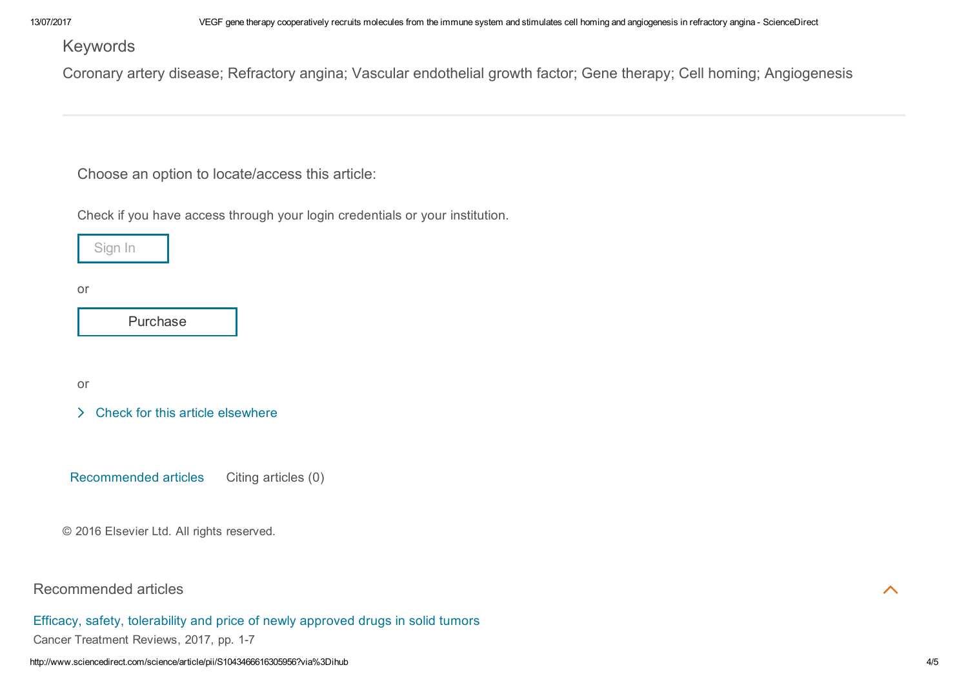<span id="page-3-0"></span>Keywords

Coronary artery disease; Refractory angina; Vascular endothelial growth factor; Gene therapy; Cell homing; Angiogenesis

Choose an option to locate/access this article:

Check if you have access through your login credentials or your institution.



or

[Purchase](http://www.sciencedirect.com/science?_ob=ShoppingCartURL&_method=add&_eid=1-s2.0-S1043466616305956&originContentFamily=serial&_origin=article&_ts=1499955760&md5=210ac0362b5557b698afdef430ee1124)

or

 $\geq$  Check for this article [elsewhere](http://linkinghub.elsevier.com/retrieve/pii/S1043466616305956?showall=true)

Recommended articles Citing articles (0)

© 2016 Elsevier Ltd. All rights reserved.

Recommended articles

Efficacy, safety, [tolerability](http://www.sciencedirect.com/science/article/pii/S0305737217300488) and price of newly approved drugs in solid tumors Cancer Treatment Reviews, 2017, pp. 1-7

 $\overline{\wedge}$